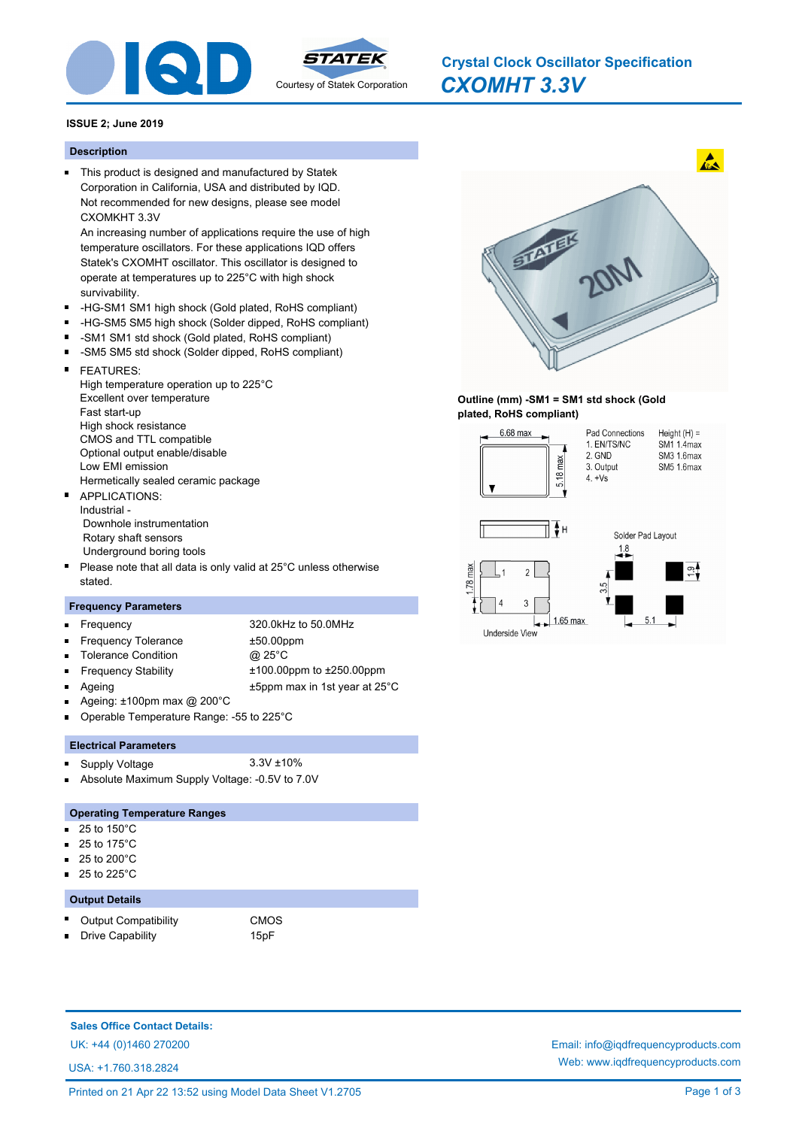

# *CXOMHT 3.3V* **Crystal Clock Oscillator Specification**

## **ISSUE 2; June 2019**

#### **Description**

This product is designed and manufactured by Statek Corporation in California, USA and distributed by IQD. Not recommended for new designs, please see model CXOMKHT 3.3V

An increasing number of applications require the use of high temperature oscillators. For these applications IQD offers Statek's CXOMHT oscillator. This oscillator is designed to operate at temperatures up to 225°C with high shock survivability.

- -HG-SM1 SM1 high shock (Gold plated, RoHS compliant)
- $\blacksquare$ -HG-SM5 SM5 high shock (Solder dipped, RoHS compliant)
- $\blacksquare$ -SM1 SM1 std shock (Gold plated, RoHS compliant)
- $\blacksquare$ -SM5 SM5 std shock (Solder dipped, RoHS compliant)
- $\blacksquare$ FEATURES: High temperature operation up to 225°C Excellent over temperature Fast start-up High shock resistance CMOS and TTL compatible Optional output enable/disable Low EMI emission Hermetically sealed ceramic package APPLICATIONS:  $\blacksquare$
- Industrial Downhole instrumentation Rotary shaft sensors Underground boring tools
- Please note that all data is only valid at 25°C unless otherwise stated.

# **Frequency Parameters**

- n.
- Frequency 320.0kHz to 50.0MHz Frequency Tolerance ±50.00ppm Tolerance Condition @ 25°C
- 
- Frequency Stability ±100.00ppm to ±250.00ppm Ageing **Example 25** and 25°C **+5ppm** max in 1st year at 25°C
- Ageing: ±100pm max @ 200°C
- Operable Temperature Range: -55 to 225°C

## **Electrical Parameters**

- Supply Voltage 3.3V ±10%
- Absolute Maximum Supply Voltage: -0.5V to 7.0V

#### **Operating Temperature Ranges**

- 25 to 150°C m.
- 25 to 175°C
- 25 to 200°C
- 25 to 225°C

## **Output Details**

m.

Output Compatibility **CMOS** 

Drive Capability **15pF** 

**Sales Office Contact Details:**

USA: +1.760.318.2824



## **Outline (mm) -SM1 = SM1 std shock (Gold plated, RoHS compliant)**



UK: +44 (0)1460 270200 Email: info@iqdfrequencyproducts.com Web: www.iqdfrequencyproducts.com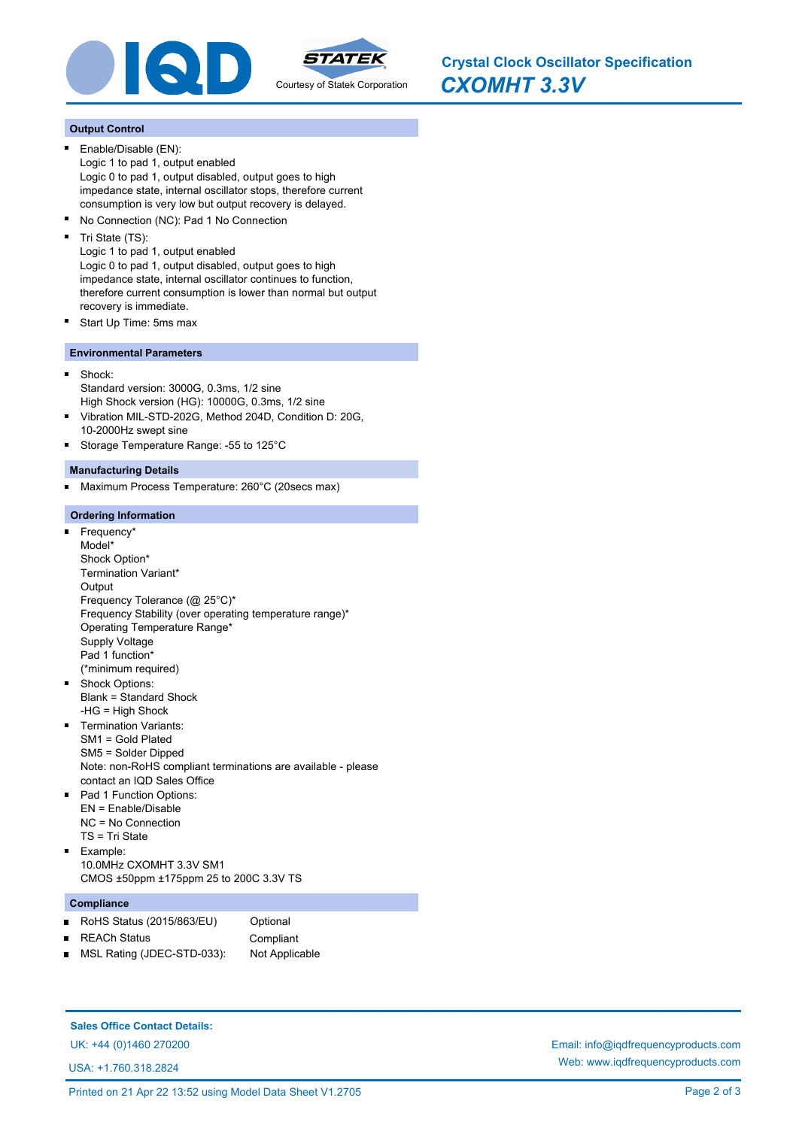

*CXOMHT 3.3V* **Crystal Clock Oscillator Specification**

## **Output Control**

- Enable/Disable (EN): Logic 1 to pad 1, output enabled Logic 0 to pad 1, output disabled, output goes to high impedance state, internal oscillator stops, therefore current consumption is very low but output recovery is delayed.
- $\blacksquare$ No Connection (NC): Pad 1 No Connection
- Tri State (TS):

Logic 1 to pad 1, output enabled Logic 0 to pad 1, output disabled, output goes to high impedance state, internal oscillator continues to function, therefore current consumption is lower than normal but output recovery is immediate.

Start Up Time: 5ms max

## **Environmental Parameters**

- Shock: Standard version: 3000G, 0.3ms, 1/2 sine High Shock version (HG): 10000G, 0.3ms, 1/2 sine
- Vibration MIL-STD-202G, Method 204D, Condition D: 20G,  $\blacksquare$ 10-2000Hz swept sine
- Storage Temperature Range: -55 to 125°C  $\blacksquare$

#### **Manufacturing Details**

Maximum Process Temperature: 260°C (20secs max) E

#### **Ordering Information**

- Frequency\*  $\blacksquare$ Model\* Shock Option\* Termination Variant\* **Output** Frequency Tolerance (@ 25°C)\* Frequency Stability (over operating temperature range)\* Operating Temperature Range\* Supply Voltage Pad 1 function\* (\*minimum required) Shock Options:  $\blacksquare$ Blank = Standard Shock -HG = High Shock **Termination Variants:** SM1 = Gold Plated SM5 = Solder Dipped Note: non-RoHS compliant terminations are available - please contact an IQD Sales Office Pad 1 Function Options: EN = Enable/Disable NC = No Connection
- TS = Tri State Example:  $\blacksquare$ 10.0MHz CXOMHT 3.3V SM1 CMOS ±50ppm ±175ppm 25 to 200C 3.3V TS

#### **Compliance**

- RoHS Status (2015/863/EU) Optional  $\blacksquare$
- REACh Status **Compliant**  $\blacksquare$
- 
- MSL Rating (JDEC-STD-033): Not Applicable

### **Sales Office Contact Details:**

USA: +1.760.318.2824

UK: +44 (0)1460 270200 Email: info@iqdfrequencyproducts.com Web: www.iqdfrequencyproducts.com